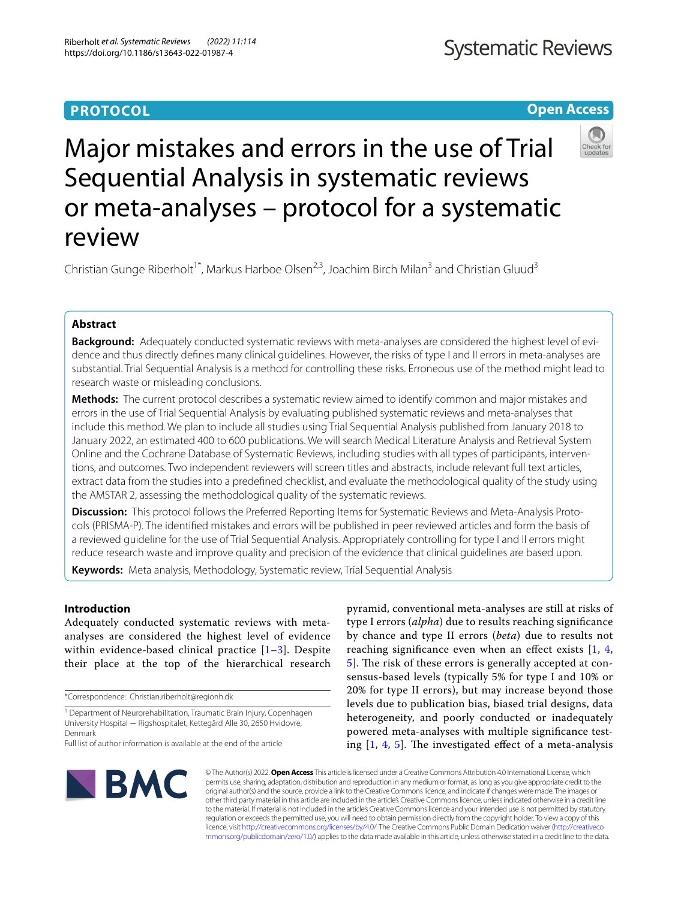## **PROTOCOL**

## **Open Access**



# Major mistakes and errors in the use of Trial Sequential Analysis in systematic reviews or meta-analyses – protocol for a systematic review

Christian Gunge Riberholt<sup>1\*</sup>, Markus Harboe Olsen<sup>2,3</sup>, Joachim Birch Milan<sup>3</sup> and Christian Gluud<sup>3</sup>

## **Abstract**

**Background:** Adequately conducted systematic reviews with meta-analyses are considered the highest level of evidence and thus directly defnes many clinical guidelines. However, the risks of type I and II errors in meta-analyses are substantial. Trial Sequential Analysis is a method for controlling these risks. Erroneous use of the method might lead to research waste or misleading conclusions.

**Methods:** The current protocol describes a systematic review aimed to identify common and major mistakes and errors in the use of Trial Sequential Analysis by evaluating published systematic reviews and meta-analyses that include this method. We plan to include all studies using Trial Sequential Analysis published from January 2018 to January 2022, an estimated 400 to 600 publications. We will search Medical Literature Analysis and Retrieval System Online and the Cochrane Database of Systematic Reviews, including studies with all types of participants, interventions, and outcomes. Two independent reviewers will screen titles and abstracts, include relevant full text articles, extract data from the studies into a predefned checklist, and evaluate the methodological quality of the study using the AMSTAR 2, assessing the methodological quality of the systematic reviews.

**Discussion:** This protocol follows the Preferred Reporting Items for Systematic Reviews and Meta-Analysis Protocols (PRISMA-P). The identifed mistakes and errors will be published in peer reviewed articles and form the basis of a reviewed guideline for the use of Trial Sequential Analysis. Appropriately controlling for type I and II errors might reduce research waste and improve quality and precision of the evidence that clinical guidelines are based upon.

**Keywords:** Meta analysis, Methodology, Systematic review, Trial Sequential Analysis

## **Introduction**

Adequately conducted systematic reviews with metaanalyses are considered the highest level of evidence within evidence-based clinical practice  $[1-3]$  $[1-3]$ . Despite their place at the top of the hierarchical research

\*Correspondence: Christian.riberholt@regionh.dk

Full list of author information is available at the end of the article

pyramid, conventional meta-analyses are still at risks of type I errors (*alpha*) due to results reaching signifcance by chance and type II errors (*beta*) due to results not reaching significance even when an effect exists  $[1, 4, 4]$  $[1, 4, 4]$  $[1, 4, 4]$  $[1, 4, 4]$  $[1, 4, 4]$ [5\]](#page-4-3). The risk of these errors is generally accepted at consensus-based levels (typically 5% for type I and 10% or 20% for type II errors), but may increase beyond those levels due to publication bias, biased trial designs, data heterogeneity, and poorly conducted or inadequately powered meta-analyses with multiple signifcance testing  $[1, 4, 5]$  $[1, 4, 5]$  $[1, 4, 5]$  $[1, 4, 5]$  $[1, 4, 5]$  $[1, 4, 5]$ . The investigated effect of a meta-analysis



© The Author(s) 2022. **Open Access** This article is licensed under a Creative Commons Attribution 4.0 International License, which permits use, sharing, adaptation, distribution and reproduction in any medium or format, as long as you give appropriate credit to the original author(s) and the source, provide a link to the Creative Commons licence, and indicate if changes were made. The images or other third party material in this article are included in the article's Creative Commons licence, unless indicated otherwise in a credit line to the material. If material is not included in the article's Creative Commons licence and your intended use is not permitted by statutory regulation or exceeds the permitted use, you will need to obtain permission directly from the copyright holder. To view a copy of this licence, visit [http://creativecommons.org/licenses/by/4.0/.](http://creativecommons.org/licenses/by/4.0/) The Creative Commons Public Domain Dedication waiver ([http://creativeco](http://creativecommons.org/publicdomain/zero/1.0/) [mmons.org/publicdomain/zero/1.0/](http://creativecommons.org/publicdomain/zero/1.0/)) applies to the data made available in this article, unless otherwise stated in a credit line to the data.

<sup>&</sup>lt;sup>1</sup> Department of Neurorehabilitation, Traumatic Brain Injury, Copenhagen University Hospital − Rigshospitalet, Kettegård Alle 30, 2650 Hvidovre, Denmark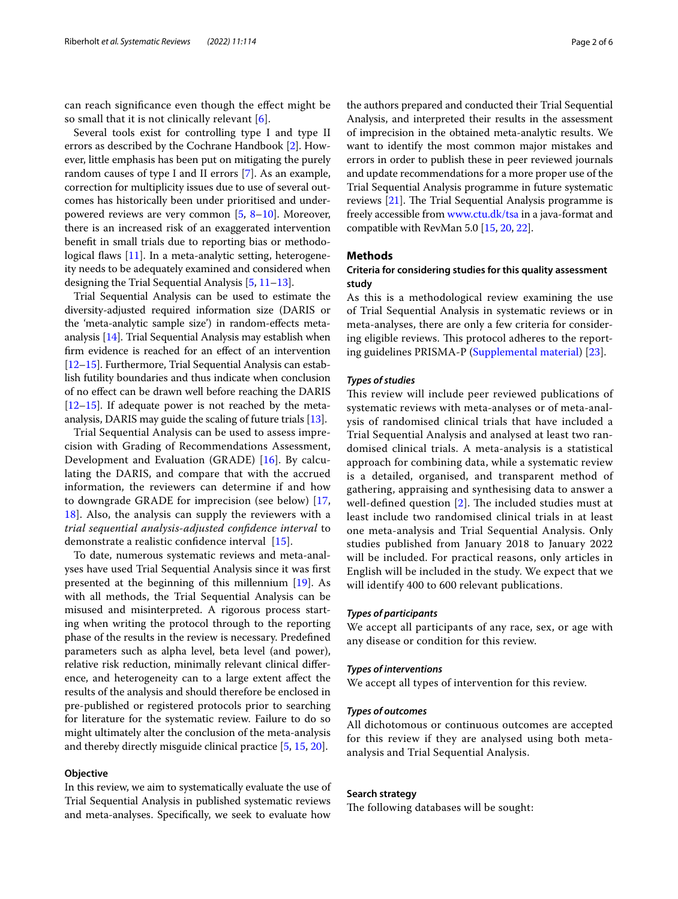can reach signifcance even though the efect might be so small that it is not clinically relevant  $[6]$  $[6]$ .

Several tools exist for controlling type I and type II errors as described by the Cochrane Handbook [[2\]](#page-4-5). However, little emphasis has been put on mitigating the purely random causes of type I and II errors [\[7](#page-4-6)]. As an example, correction for multiplicity issues due to use of several outcomes has historically been under prioritised and underpowered reviews are very common [\[5](#page-4-3), [8](#page-4-7)[–10](#page-4-8)]. Moreover, there is an increased risk of an exaggerated intervention beneft in small trials due to reporting bias or methodo-logical flaws [[11\]](#page-4-9). In a meta-analytic setting, heterogeneity needs to be adequately examined and considered when designing the Trial Sequential Analysis [\[5](#page-4-3), [11–](#page-4-9)[13](#page-4-10)].

Trial Sequential Analysis can be used to estimate the diversity-adjusted required information size (DARIS or the 'meta-analytic sample size') in random-efects metaanalysis [\[14\]](#page-4-11). Trial Sequential Analysis may establish when frm evidence is reached for an efect of an intervention [[12](#page-4-12)[–15\]](#page-4-13). Furthermore, Trial Sequential Analysis can establish futility boundaries and thus indicate when conclusion of no efect can be drawn well before reaching the DARIS [[12](#page-4-12)[–15\]](#page-4-13). If adequate power is not reached by the metaanalysis, DARIS may guide the scaling of future trials [[13](#page-4-10)].

Trial Sequential Analysis can be used to assess imprecision with Grading of Recommendations Assessment, Development and Evaluation (GRADE) [\[16](#page-4-14)]. By calculating the DARIS, and compare that with the accrued information, the reviewers can determine if and how to downgrade GRADE for imprecision (see below) [\[17](#page-4-15), [18\]](#page-4-16). Also, the analysis can supply the reviewers with a *trial sequential analysis-adjusted confdence interval* to demonstrate a realistic confdence interval [[15\]](#page-4-13).

To date, numerous systematic reviews and meta-analyses have used Trial Sequential Analysis since it was frst presented at the beginning of this millennium [\[19](#page-4-17)]. As with all methods, the Trial Sequential Analysis can be misused and misinterpreted. A rigorous process starting when writing the protocol through to the reporting phase of the results in the review is necessary. Predefned parameters such as alpha level, beta level (and power), relative risk reduction, minimally relevant clinical diference, and heterogeneity can to a large extent afect the results of the analysis and should therefore be enclosed in pre-published or registered protocols prior to searching for literature for the systematic review. Failure to do so might ultimately alter the conclusion of the meta-analysis and thereby directly misguide clinical practice [\[5](#page-4-3), [15](#page-4-13), [20\]](#page-5-0).

## **Objective**

In this review, we aim to systematically evaluate the use of Trial Sequential Analysis in published systematic reviews and meta-analyses. Specifcally, we seek to evaluate how the authors prepared and conducted their Trial Sequential Analysis, and interpreted their results in the assessment of imprecision in the obtained meta-analytic results. We want to identify the most common major mistakes and errors in order to publish these in peer reviewed journals and update recommendations for a more proper use of the Trial Sequential Analysis programme in future systematic reviews  $[21]$  $[21]$ . The Trial Sequential Analysis programme is freely accessible from [www.ctu.dk/tsa](http://www.ctu.dk/tsa) in a java-format and compatible with RevMan 5.0 [[15](#page-4-13), [20](#page-5-0), [22\]](#page-5-2).

## **Methods**

## **Criteria for considering studies for this quality assessment study**

As this is a methodological review examining the use of Trial Sequential Analysis in systematic reviews or in meta-analyses, there are only a few criteria for considering eligible reviews. This protocol adheres to the reporting guidelines PRISMA-P ([Supplemental material\)](#page-4-18) [[23](#page-5-3)].

## *Types of studies*

This review will include peer reviewed publications of systematic reviews with meta-analyses or of meta-analysis of randomised clinical trials that have included a Trial Sequential Analysis and analysed at least two randomised clinical trials. A meta-analysis is a statistical approach for combining data, while a systematic review is a detailed, organised, and transparent method of gathering, appraising and synthesising data to answer a well-defined question  $[2]$  $[2]$ . The included studies must at least include two randomised clinical trials in at least one meta-analysis and Trial Sequential Analysis. Only studies published from January 2018 to January 2022 will be included. For practical reasons, only articles in English will be included in the study. We expect that we will identify 400 to 600 relevant publications.

## *Types of participants*

We accept all participants of any race, sex, or age with any disease or condition for this review.

#### *Types of interventions*

We accept all types of intervention for this review.

#### *Types of outcomes*

All dichotomous or continuous outcomes are accepted for this review if they are analysed using both metaanalysis and Trial Sequential Analysis.

## **Search strategy**

The following databases will be sought: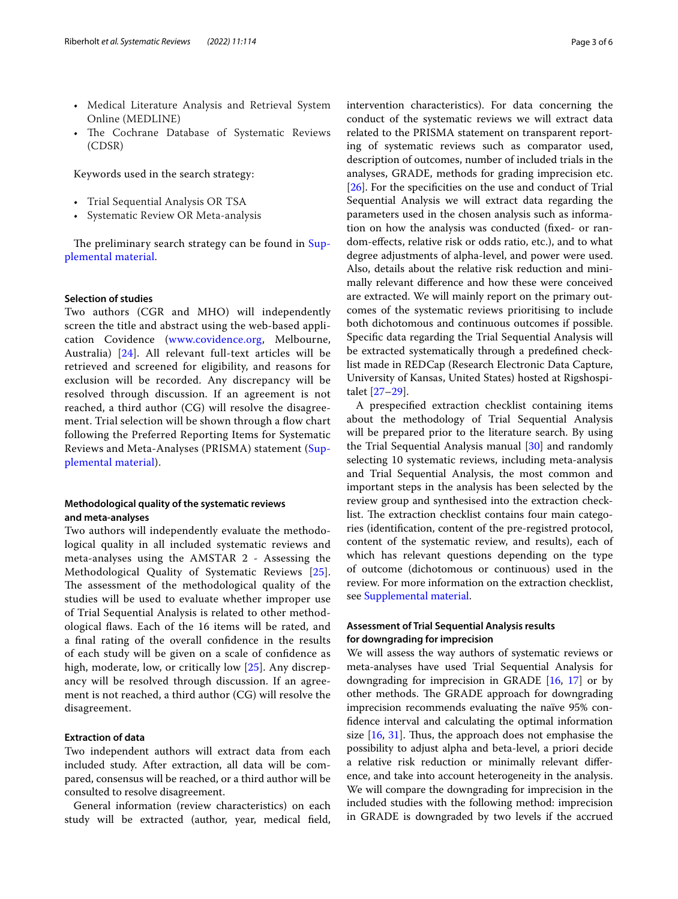- Medical Literature Analysis and Retrieval System Online (MEDLINE)
- The Cochrane Database of Systematic Reviews (CDSR)

Keywords used in the search strategy:

- Trial Sequential Analysis OR TSA
- Systematic Review OR Meta-analysis

The preliminary search strategy can be found in [Sup](#page-4-18)[plemental material.](#page-4-18)

## **Selection of studies**

Two authors (CGR and MHO) will independently screen the title and abstract using the web-based application Covidence [\(www.covidence.org](http://www.covidence.org), Melbourne, Australia) [[24\]](#page-5-4). All relevant full-text articles will be retrieved and screened for eligibility, and reasons for exclusion will be recorded. Any discrepancy will be resolved through discussion. If an agreement is not reached, a third author (CG) will resolve the disagreement. Trial selection will be shown through a flow chart following the Preferred Reporting Items for Systematic Reviews and Meta-Analyses (PRISMA) statement ([Sup](#page-4-18)[plemental material\)](#page-4-18).

## **Methodological quality of the systematic reviews and meta‑analyses**

Two authors will independently evaluate the methodological quality in all included systematic reviews and meta-analyses using the AMSTAR 2 - Assessing the Methodological Quality of Systematic Reviews [[25](#page-5-5)]. The assessment of the methodological quality of the studies will be used to evaluate whether improper use of Trial Sequential Analysis is related to other methodological faws. Each of the 16 items will be rated, and a fnal rating of the overall confdence in the results of each study will be given on a scale of confdence as high, moderate, low, or critically low [[25\]](#page-5-5). Any discrepancy will be resolved through discussion. If an agreement is not reached, a third author (CG) will resolve the disagreement.

## **Extraction of data**

Two independent authors will extract data from each included study. After extraction, all data will be compared, consensus will be reached, or a third author will be consulted to resolve disagreement.

General information (review characteristics) on each study will be extracted (author, year, medical feld,

intervention characteristics). For data concerning the conduct of the systematic reviews we will extract data related to the PRISMA statement on transparent reporting of systematic reviews such as comparator used, description of outcomes, number of included trials in the analyses, GRADE, methods for grading imprecision etc. [[26\]](#page-5-6). For the specifcities on the use and conduct of Trial Sequential Analysis we will extract data regarding the parameters used in the chosen analysis such as information on how the analysis was conducted (fxed- or random-efects, relative risk or odds ratio, etc.), and to what degree adjustments of alpha-level, and power were used. Also, details about the relative risk reduction and minimally relevant diference and how these were conceived are extracted. We will mainly report on the primary outcomes of the systematic reviews prioritising to include both dichotomous and continuous outcomes if possible. Specifc data regarding the Trial Sequential Analysis will be extracted systematically through a predefned checklist made in REDCap (Research Electronic Data Capture, University of Kansas, United States) hosted at Rigshospitalet [\[27](#page-5-7)[–29\]](#page-5-8).

A prespecifed extraction checklist containing items about the methodology of Trial Sequential Analysis will be prepared prior to the literature search. By using the Trial Sequential Analysis manual [\[30](#page-5-9)] and randomly selecting 10 systematic reviews, including meta-analysis and Trial Sequential Analysis, the most common and important steps in the analysis has been selected by the review group and synthesised into the extraction checklist. The extraction checklist contains four main categories (identifcation, content of the pre-registred protocol, content of the systematic review, and results), each of which has relevant questions depending on the type of outcome (dichotomous or continuous) used in the review. For more information on the extraction checklist, see [Supplemental material](#page-4-18).

## **Assessment of Trial Sequential Analysis results for downgrading for imprecision**

We will assess the way authors of systematic reviews or meta-analyses have used Trial Sequential Analysis for downgrading for imprecision in GRADE [[16,](#page-4-14) [17\]](#page-4-15) or by other methods. The GRADE approach for downgrading imprecision recommends evaluating the naïve 95% confdence interval and calculating the optimal information size  $[16, 31]$  $[16, 31]$  $[16, 31]$ . Thus, the approach does not emphasise the possibility to adjust alpha and beta-level, a priori decide a relative risk reduction or minimally relevant diference, and take into account heterogeneity in the analysis. We will compare the downgrading for imprecision in the included studies with the following method: imprecision in GRADE is downgraded by two levels if the accrued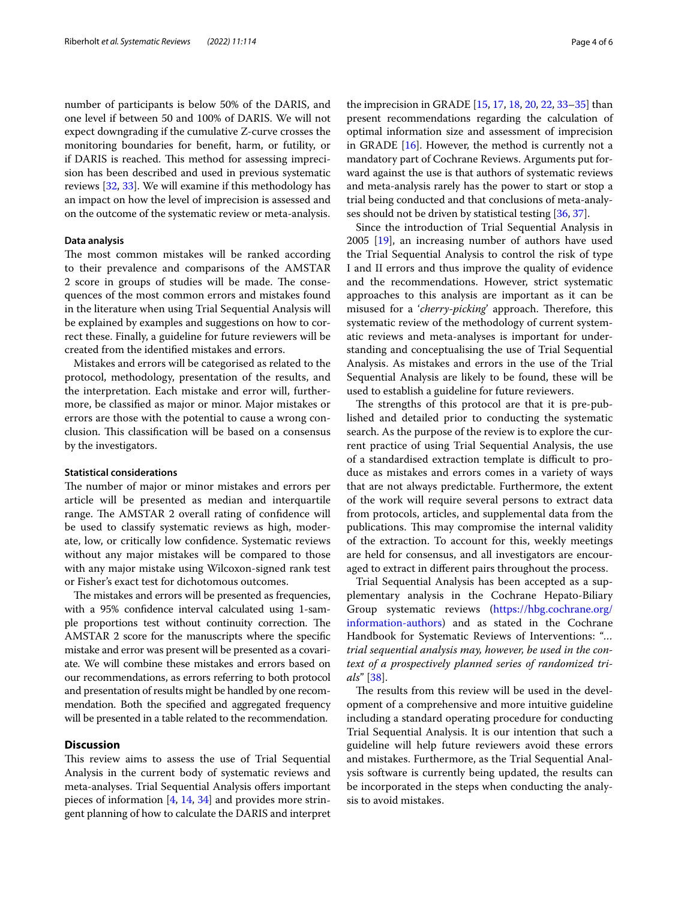number of participants is below 50% of the DARIS, and one level if between 50 and 100% of DARIS. We will not expect downgrading if the cumulative Z-curve crosses the monitoring boundaries for beneft, harm, or futility, or if DARIS is reached. This method for assessing imprecision has been described and used in previous systematic reviews [\[32,](#page-5-11) [33](#page-5-12)]. We will examine if this methodology has an impact on how the level of imprecision is assessed and on the outcome of the systematic review or meta-analysis.

## **Data analysis**

The most common mistakes will be ranked according to their prevalence and comparisons of the AMSTAR 2 score in groups of studies will be made. The consequences of the most common errors and mistakes found in the literature when using Trial Sequential Analysis will be explained by examples and suggestions on how to correct these. Finally, a guideline for future reviewers will be created from the identifed mistakes and errors.

Mistakes and errors will be categorised as related to the protocol, methodology, presentation of the results, and the interpretation. Each mistake and error will, furthermore, be classifed as major or minor. Major mistakes or errors are those with the potential to cause a wrong conclusion. This classification will be based on a consensus by the investigators.

## **Statistical considerations**

The number of major or minor mistakes and errors per article will be presented as median and interquartile range. The AMSTAR 2 overall rating of confidence will be used to classify systematic reviews as high, moderate, low, or critically low confdence. Systematic reviews without any major mistakes will be compared to those with any major mistake using Wilcoxon-signed rank test or Fisher's exact test for dichotomous outcomes.

The mistakes and errors will be presented as frequencies, with a 95% confdence interval calculated using 1-sample proportions test without continuity correction. The AMSTAR 2 score for the manuscripts where the specifc mistake and error was present will be presented as a covariate. We will combine these mistakes and errors based on our recommendations, as errors referring to both protocol and presentation of results might be handled by one recommendation. Both the specifed and aggregated frequency will be presented in a table related to the recommendation.

## **Discussion**

This review aims to assess the use of Trial Sequential Analysis in the current body of systematic reviews and meta-analyses. Trial Sequential Analysis ofers important pieces of information [\[4](#page-4-2), [14,](#page-4-11) [34](#page-5-13)] and provides more stringent planning of how to calculate the DARIS and interpret

the imprecision in GRADE [[15,](#page-4-13) [17,](#page-4-15) [18,](#page-4-16) [20,](#page-5-0) [22](#page-5-2), [33](#page-5-12)[–35\]](#page-5-14) than present recommendations regarding the calculation of optimal information size and assessment of imprecision in GRADE [[16\]](#page-4-14). However, the method is currently not a mandatory part of Cochrane Reviews. Arguments put forward against the use is that authors of systematic reviews and meta-analysis rarely has the power to start or stop a trial being conducted and that conclusions of meta-analy-

ses should not be driven by statistical testing [\[36,](#page-5-15) [37](#page-5-16)]. Since the introduction of Trial Sequential Analysis in 2005 [[19\]](#page-4-17), an increasing number of authors have used the Trial Sequential Analysis to control the risk of type I and II errors and thus improve the quality of evidence and the recommendations. However, strict systematic approaches to this analysis are important as it can be misused for a '*cherry-picking*' approach. Therefore, this systematic review of the methodology of current systematic reviews and meta-analyses is important for understanding and conceptualising the use of Trial Sequential Analysis. As mistakes and errors in the use of the Trial Sequential Analysis are likely to be found, these will be used to establish a guideline for future reviewers.

The strengths of this protocol are that it is pre-published and detailed prior to conducting the systematic search. As the purpose of the review is to explore the current practice of using Trial Sequential Analysis, the use of a standardised extraction template is difficult to produce as mistakes and errors comes in a variety of ways that are not always predictable. Furthermore, the extent of the work will require several persons to extract data from protocols, articles, and supplemental data from the publications. This may compromise the internal validity of the extraction. To account for this, weekly meetings are held for consensus, and all investigators are encouraged to extract in diferent pairs throughout the process.

Trial Sequential Analysis has been accepted as a supplementary analysis in the Cochrane Hepato-Biliary Group systematic reviews ([https://hbg.cochrane.org/](https://hbg.cochrane.org/information-authors) [information-authors](https://hbg.cochrane.org/information-authors)) and as stated in the Cochrane Handbook for Systematic Reviews of Interventions: "*… trial sequential analysis may, however, be used in the context of a prospectively planned series of randomized trials*" [\[38](#page-5-17)].

The results from this review will be used in the development of a comprehensive and more intuitive guideline including a standard operating procedure for conducting Trial Sequential Analysis. It is our intention that such a guideline will help future reviewers avoid these errors and mistakes. Furthermore, as the Trial Sequential Analysis software is currently being updated, the results can be incorporated in the steps when conducting the analysis to avoid mistakes.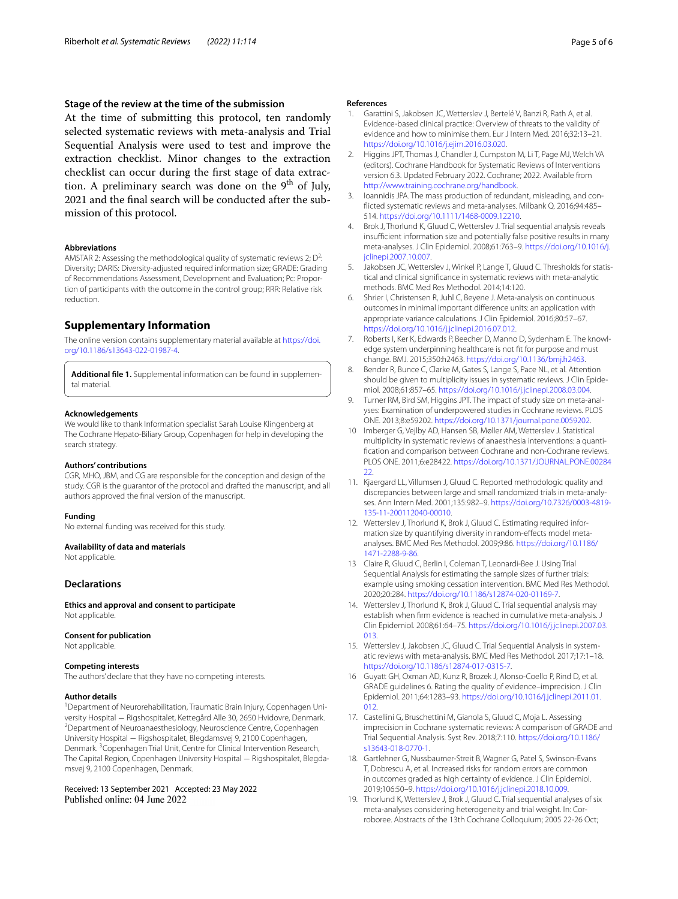## **Stage of the review at the time of the submission**

At the time of submitting this protocol, ten randomly selected systematic reviews with meta-analysis and Trial Sequential Analysis were used to test and improve the extraction checklist. Minor changes to the extraction checklist can occur during the frst stage of data extraction. A preliminary search was done on the  $9<sup>th</sup>$  of July, 2021 and the fnal search will be conducted after the submission of this protocol.

#### **Abbreviations**

AMSTAR 2: Assessing the methodological quality of systematic reviews 2;  $D^2$ : Diversity; DARIS: Diversity-adjusted required information size; GRADE: Grading of Recommendations Assessment, Development and Evaluation; Pc: Proportion of participants with the outcome in the control group; RRR: Relative risk reduction.

## **Supplementary Information**

The online version contains supplementary material available at [https://doi.](https://doi.org/10.1186/s13643-022-01987-4) [org/10.1186/s13643-022-01987-4](https://doi.org/10.1186/s13643-022-01987-4).

<span id="page-4-18"></span>**Additional fle 1.** Supplemental information can be found in supplemental material.

#### **Acknowledgements**

We would like to thank Information specialist Sarah Louise Klingenberg at The Cochrane Hepato-Biliary Group, Copenhagen for help in developing the search strategy.

## **Authors' contributions**

CGR, MHO, JBM, and CG are responsible for the conception and design of the study. CGR is the guarantor of the protocol and drafted the manuscript, and all authors approved the fnal version of the manuscript.

#### **Funding**

No external funding was received for this study.

#### **Availability of data and materials**

Not applicable.

#### **Declarations**

**Ethics and approval and consent to participate** Not applicable.

#### **Consent for publication**

Not applicable.

#### **Competing interests**

The authors' declare that they have no competing interests.

#### **Author details**

<sup>1</sup> Department of Neurorehabilitation, Traumatic Brain Injury, Copenhagen University Hospital – Rigshospitalet, Kettegård Alle 30, 2650 Hvidovre, Denmark. <sup>2</sup> Department of Neuroanaesthesiology, Neuroscience Centre, Copenhagen University Hospital − Rigshospitalet, Blegdamsvej 9, 2100 Copenhagen, Denmark.<sup>3</sup> Copenhagen Trial Unit, Centre for Clinical Intervention Research, The Capital Region, Copenhagen University Hospital – Rigshospitalet, Blegdamsvej 9, 2100 Copenhagen, Denmark.

## Received: 13 September 2021 Accepted: 23 May 2022 Published online: 04 June 2022

#### **References**

- <span id="page-4-0"></span>1. Garattini S, Jakobsen JC, Wetterslev J, Bertelé V, Banzi R, Rath A, et al. Evidence-based clinical practice: Overview of threats to the validity of evidence and how to minimise them. Eur J Intern Med. 2016;32:13–21. <https://doi.org/10.1016/j.ejim.2016.03.020>.
- <span id="page-4-5"></span>2. Higgins JPT, Thomas J, Chandler J, Cumpston M, Li T, Page MJ, Welch VA (editors). Cochrane Handbook for Systematic Reviews of Interventions version 6.3. Updated February 2022. Cochrane; 2022. Available from [http://www.training.cochrane.org/handbook.](http://www.training.cochrane.org/handbook)
- <span id="page-4-1"></span>3. Ioannidis JPA. The mass production of redundant, misleading, and conficted systematic reviews and meta-analyses. Milbank Q. 2016;94:485– 514. [https://doi.org/10.1111/1468-0009.12210.](https://doi.org/10.1111/1468-0009.12210)
- <span id="page-4-2"></span>4. Brok J, Thorlund K, Gluud C, Wetterslev J. Trial sequential analysis reveals insufficient information size and potentially false positive results in many meta-analyses. J Clin Epidemiol. 2008;61:763–9. [https://doi.org/10.1016/j.](https://doi.org/10.1016/j.jclinepi.2007.10.007) [jclinepi.2007.10.007](https://doi.org/10.1016/j.jclinepi.2007.10.007).
- <span id="page-4-3"></span>5. Jakobsen JC, Wetterslev J, Winkel P, Lange T, Gluud C. Thresholds for statistical and clinical signifcance in systematic reviews with meta-analytic methods. BMC Med Res Methodol. 2014;14:120.
- <span id="page-4-4"></span>6. Shrier I, Christensen R, Juhl C, Beyene J. Meta-analysis on continuous outcomes in minimal important diference units: an application with appropriate variance calculations. J Clin Epidemiol. 2016;80:57–67. [https://doi.org/10.1016/j.jclinepi.2016.07.012.](https://doi.org/10.1016/j.jclinepi.2016.07.012)
- <span id="page-4-6"></span>7. Roberts I, Ker K, Edwards P, Beecher D, Manno D, Sydenham E. The knowledge system underpinning healthcare is not ft for purpose and must change. BMJ. 2015;350:h2463. [https://doi.org/10.1136/bmj.h2463.](https://doi.org/10.1136/bmj.h2463)
- <span id="page-4-7"></span>8. Bender R, Bunce C, Clarke M, Gates S, Lange S, Pace NL, et al. Attention should be given to multiplicity issues in systematic reviews. J Clin Epidemiol. 2008;61:857–65.<https://doi.org/10.1016/j.jclinepi.2008.03.004>.
- 9. Turner RM, Bird SM, Higgins JPT. The impact of study size on meta-analyses: Examination of underpowered studies in Cochrane reviews. PLOS ONE. 2013;8:e59202. <https://doi.org/10.1371/journal.pone.0059202>.
- <span id="page-4-8"></span>10 Imberger G, Vejlby AD, Hansen SB, Møller AM, Wetterslev J. Statistical multiplicity in systematic reviews of anaesthesia interventions: a quantifcation and comparison between Cochrane and non-Cochrane reviews. PLOS ONE. 2011;6:e28422. [https://doi.org/10.1371/JOURNAL.PONE.00284](https://doi.org/10.1371/JOURNAL.PONE.0028422)  $22.2$  $22.2$
- <span id="page-4-9"></span>11. Kjaergard LL, Villumsen J, Gluud C. Reported methodologic quality and discrepancies between large and small randomized trials in meta-analyses. Ann Intern Med. 2001;135:982–9. [https://doi.org/10.7326/0003-4819-](https://doi.org/10.7326/0003-4819-135-11-200112040-00010) [135-11-200112040-00010.](https://doi.org/10.7326/0003-4819-135-11-200112040-00010)
- <span id="page-4-12"></span>12. Wetterslev J, Thorlund K, Brok J, Gluud C. Estimating required information size by quantifying diversity in random-efects model metaanalyses. BMC Med Res Methodol. 2009;9:86. [https://doi.org/10.1186/](https://doi.org/10.1186/1471-2288-9-86) [1471-2288-9-86.](https://doi.org/10.1186/1471-2288-9-86)
- <span id="page-4-10"></span>13 Claire R, Gluud C, Berlin I, Coleman T, Leonardi-Bee J. Using Trial Sequential Analysis for estimating the sample sizes of further trials: example using smoking cessation intervention. BMC Med Res Methodol. 2020;20:284. [https://doi.org/10.1186/s12874-020-01169-7.](https://doi.org/10.1186/s12874-020-01169-7)
- <span id="page-4-11"></span>14. Wetterslev J, Thorlund K, Brok J, Gluud C. Trial sequential analysis may establish when frm evidence is reached in cumulative meta-analysis. J Clin Epidemiol. 2008;61:64–75. [https://doi.org/10.1016/j.jclinepi.2007.03.](https://doi.org/10.1016/j.jclinepi.2007.03.013) [013.](https://doi.org/10.1016/j.jclinepi.2007.03.013)
- <span id="page-4-13"></span>15. Wetterslev J, Jakobsen JC, Gluud C. Trial Sequential Analysis in systematic reviews with meta-analysis. BMC Med Res Methodol. 2017;17:1–18. [https://doi.org/10.1186/s12874-017-0315-7.](https://doi.org/10.1186/s12874-017-0315-7)
- <span id="page-4-14"></span>16 Guyatt GH, Oxman AD, Kunz R, Brozek J, Alonso-Coello P, Rind D, et al. GRADE guidelines 6. Rating the quality of evidence–imprecision. J Clin Epidemiol. 2011;64:1283–93. [https://doi.org/10.1016/j.jclinepi.2011.01.](https://doi.org/10.1016/j.jclinepi.2011.01.012) [012.](https://doi.org/10.1016/j.jclinepi.2011.01.012)
- <span id="page-4-15"></span>17. Castellini G, Bruschettini M, Gianola S, Gluud C, Moja L. Assessing imprecision in Cochrane systematic reviews: A comparison of GRADE and Trial Sequential Analysis. Syst Rev. 2018;7:110. [https://doi.org/10.1186/](https://doi.org/10.1186/s13643-018-0770-1) [s13643-018-0770-1.](https://doi.org/10.1186/s13643-018-0770-1)
- <span id="page-4-16"></span>18. Gartlehner G, Nussbaumer-Streit B, Wagner G, Patel S, Swinson-Evans T, Dobrescu A, et al. Increased risks for random errors are common in outcomes graded as high certainty of evidence. J Clin Epidemiol. 2019;106:50–9. [https://doi.org/10.1016/j.jclinepi.2018.10.009.](https://doi.org/10.1016/j.jclinepi.2018.10.009)
- <span id="page-4-17"></span>19. Thorlund K, Wetterslev J, Brok J, Gluud C. Trial sequential analyses of six meta-analyses considering heterogeneity and trial weight. In: Corroboree. Abstracts of the 13th Cochrane Colloquium; 2005 22-26 Oct;